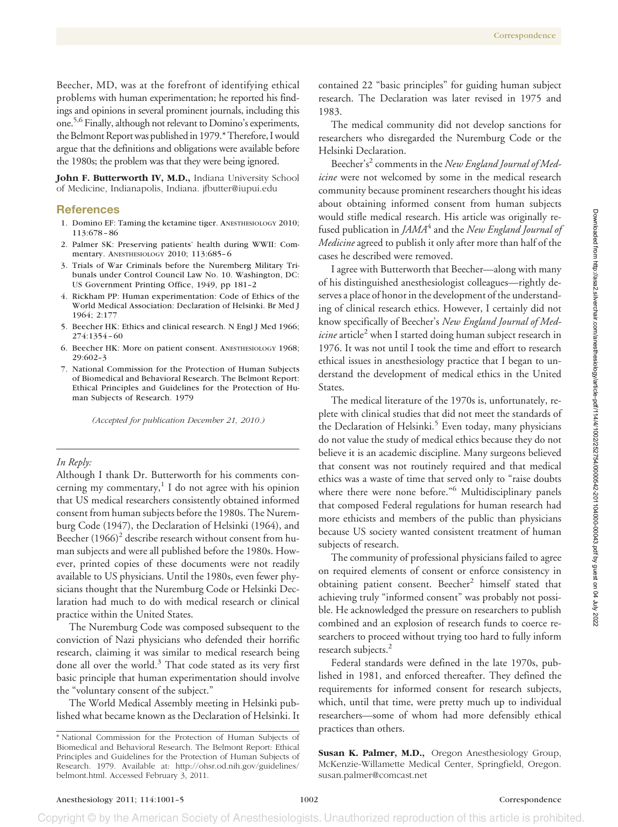Beecher, MD, was at the forefront of identifying ethical problems with human experimentation; he reported his findings and opinions in several prominent journals, including this one.5,6 Finally, although not relevant to Domino's experiments, the Belmont Report was published in 1979.\* Therefore, I would argue that the definitions and obligations were available before the 1980s; the problem was that they were being ignored.

John F. Butterworth IV, M.D., Indiana University School of Medicine, Indianapolis, Indiana. jfbutter@iupui.edu

## **References**

- 1. Domino EF: Taming the ketamine tiger. ANESTHESIOLOGY 2010; 113:678 – 86
- 2. Palmer SK: Preserving patients' health during WWII: Commentary. ANESTHESIOLOGY 2010; 113:685– 6
- 3. Trials of War Criminals before the Nuremberg Military Tribunals under Control Council Law No. 10. Washington, DC: US Government Printing Office, 1949, pp 181–2
- 4. Rickham PP: Human experimentation: Code of Ethics of the World Medical Association: Declaration of Helsinki. Br Med J 1964; 2:177
- 5. Beecher HK: Ethics and clinical research. N Engl J Med 1966; 274:1354 – 60
- 6. Beecher HK: More on patient consent. ANESTHESIOLOGY 1968; 29:602–3
- 7. National Commission for the Protection of Human Subjects of Biomedical and Behavioral Research. The Belmont Report: Ethical Principles and Guidelines for the Protection of Human Subjects of Research. 1979

*(Accepted for publication December 21, 2010.)*

### *In Reply:*

Although I thank Dr. Butterworth for his comments concerning my commentary, $\frac{1}{1}$  I do not agree with his opinion that US medical researchers consistently obtained informed consent from human subjects before the 1980s. The Nuremburg Code (1947), the Declaration of Helsinki (1964), and Beecher (1966)<sup>2</sup> describe research without consent from human subjects and were all published before the 1980s. However, printed copies of these documents were not readily available to US physicians. Until the 1980s, even fewer physicians thought that the Nuremburg Code or Helsinki Declaration had much to do with medical research or clinical practice within the United States.

The Nuremburg Code was composed subsequent to the conviction of Nazi physicians who defended their horrific research, claiming it was similar to medical research being done all over the world.<sup>3</sup> That code stated as its very first basic principle that human experimentation should involve the "voluntary consent of the subject."

The World Medical Assembly meeting in Helsinki published what became known as the Declaration of Helsinki. It contained 22 "basic principles" for guiding human subject research. The Declaration was later revised in 1975 and 1983.

The medical community did not develop sanctions for researchers who disregarded the Nuremburg Code or the Helsinki Declaration.

Beecher's<sup>2</sup> comments in the *New England Journal of Medicine* were not welcomed by some in the medical research community because prominent researchers thought his ideas about obtaining informed consent from human subjects would stifle medical research. His article was originally refused publication in *JAMA*<sup>4</sup> and the *New England Journal of Medicine* agreed to publish it only after more than half of the cases he described were removed.

I agree with Butterworth that Beecher—along with many of his distinguished anesthesiologist colleagues—rightly deserves a place of honor in the development of the understanding of clinical research ethics. However, I certainly did not know specifically of Beecher's *New England Journal of Medicine* article<sup>2</sup> when I started doing human subject research in 1976. It was not until I took the time and effort to research ethical issues in anesthesiology practice that I began to understand the development of medical ethics in the United States.

The medical literature of the 1970s is, unfortunately, replete with clinical studies that did not meet the standards of the Declaration of Helsinki.<sup>5</sup> Even today, many physicians do not value the study of medical ethics because they do not believe it is an academic discipline. Many surgeons believed that consent was not routinely required and that medical ethics was a waste of time that served only to "raise doubts where there were none before."<sup>6</sup> Multidisciplinary panels that composed Federal regulations for human research had more ethicists and members of the public than physicians because US society wanted consistent treatment of human subjects of research.

The community of professional physicians failed to agree on required elements of consent or enforce consistency in obtaining patient consent. Beecher<sup>2</sup> himself stated that achieving truly "informed consent" was probably not possible. He acknowledged the pressure on researchers to publish combined and an explosion of research funds to coerce researchers to proceed without trying too hard to fully inform research subjects.<sup>2</sup>

Federal standards were defined in the late 1970s, published in 1981, and enforced thereafter. They defined the requirements for informed consent for research subjects, which, until that time, were pretty much up to individual researchers—some of whom had more defensibly ethical practices than others.

**Susan K. Palmer, M.D.,** Oregon Anesthesiology Group, McKenzie-Willamette Medical Center, Springfield, Oregon. susan.palmer@comcast.net

Copyright © by the American Society of Anesthesiologists. Unauthorized reproduction of this article is prohibited

<sup>\*</sup> National Commission for the Protection of Human Subjects of Biomedical and Behavioral Research. The Belmont Report: Ethical Principles and Guidelines for the Protection of Human Subjects of Research. 1979. Available at: http://ohsr.od.nih.gov/guidelines/ belmont.html. Accessed February 3, 2011.